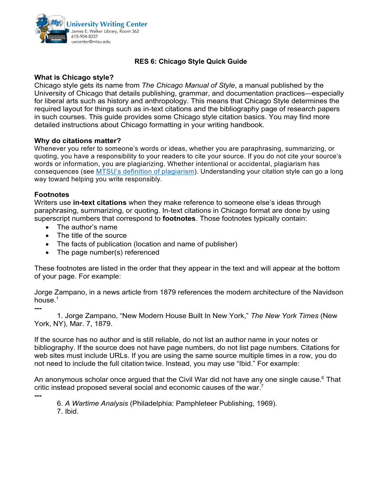

# **RES 6: Chicago Style Quick Guide**

## **What is Chicago style?**

Chicago style gets its name from *The Chicago Manual of Style*, a manual published by the University of Chicago that details publishing, grammar, and documentation practices—especially for liberal arts such as history and anthropology. This means that Chicago Style determines the required layout for things such as in-text citations and the bibliography page of research papers in such courses. This guide provides some Chicago style citation basics. You may find more detailed instructions about Chicago formatting in your writing handbook*.*

### **Why do citations matter?**

Whenever you refer to someone's words or ideas, whether you are paraphrasing, summarizing, or quoting, you have a responsibility to your readers to cite your source. If you do not cite your source's words or information, you are plagiarizing. Whether intentional or accidental, plagiarism has consequences (see MTSU's definition of [plagiarism](https://www.mtsu.edu/provost/academic-integrity.php)). Understanding your citation style can go a long way toward helping you write responsibly.

### **Footnotes**

Writers use **in-text citations** when they make reference to someone else's ideas through paraphrasing, summarizing, or quoting. In-text citations in Chicago format are done by using superscript numbers that correspond to **footnotes**. Those footnotes typically contain:

- The author's name
- The title of the source
- The facts of publication (location and name of publisher)
- The page number(s) referenced

These footnotes are listed in the order that they appear in the text and will appear at the bottom of your page. For example:

Jorge Zampano, in a news article from 1879 references the modern architecture of the Navidson house. $1$ 

**---** 1. Jorge Zampano, "New Modern House Built In New York," *The New York Times* (New York, NY), Mar. 7, 1879.

If the source has no author and is still reliable, do not list an author name in your notes or bibliography. If the source does not have page numbers, do not list page numbers. Citations for web sites must include URLs. If you are using the same source multiple times in a row, you do not need to include the full citation twice. Instead, you may use "Ibid." For example:

An anonymous scholar once argued that the Civil War did not have any one single cause.<sup>6</sup> That critic instead proposed several social and economic causes of the war.<sup>7</sup>

6. *A Wartime Analysis* (Philadelphia: Pamphleteer Publishing, 1969).

7. Ibid.

**---**